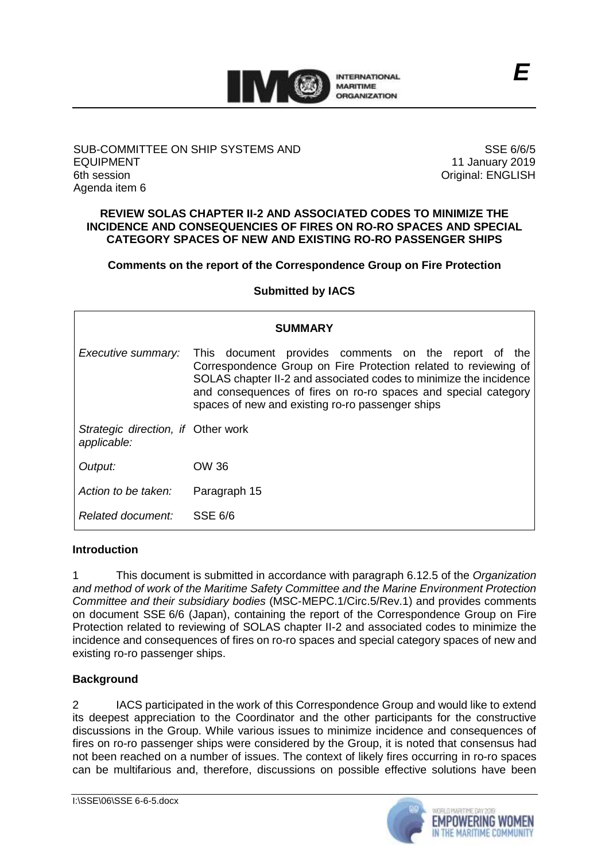

### SUB-COMMITTEE ON SHIP SYSTEMS AND EQUIPMENT 6th session Agenda item 6

SSE 6/6/5 11 January 2019 Original: ENGLISH

*E*

### **REVIEW SOLAS CHAPTER II-2 AND ASSOCIATED CODES TO MINIMIZE THE INCIDENCE AND CONSEQUENCIES OF FIRES ON RO-RO SPACES AND SPECIAL CATEGORY SPACES OF NEW AND EXISTING RO-RO PASSENGER SHIPS**

# **Comments on the report of the Correspondence Group on Fire Protection**

### **Submitted by IACS**

| <b>SUMMARY</b>                                    |                                                                                                                                                                                                                                                                                                                    |
|---------------------------------------------------|--------------------------------------------------------------------------------------------------------------------------------------------------------------------------------------------------------------------------------------------------------------------------------------------------------------------|
| Executive summary:                                | This document provides comments on the report of the<br>Correspondence Group on Fire Protection related to reviewing of<br>SOLAS chapter II-2 and associated codes to minimize the incidence<br>and consequences of fires on ro-ro spaces and special category<br>spaces of new and existing ro-ro passenger ships |
| Strategic direction, if Other work<br>applicable: |                                                                                                                                                                                                                                                                                                                    |
| Output:                                           | OW 36                                                                                                                                                                                                                                                                                                              |
| Action to be taken:                               | Paragraph 15                                                                                                                                                                                                                                                                                                       |
| Related document:                                 | SSE 6/6                                                                                                                                                                                                                                                                                                            |

### **Introduction**

1 This document is submitted in accordance with paragraph 6.12.5 of the *Organization and method of work of the Maritime Safety Committee and the Marine Environment Protection Committee and their subsidiary bodies* (MSC-MEPC.1/Circ.5/Rev.1) and provides comments on document SSE 6/6 (Japan), containing the report of the Correspondence Group on Fire Protection related to reviewing of SOLAS chapter II-2 and associated codes to minimize the incidence and consequences of fires on ro-ro spaces and special category spaces of new and existing ro-ro passenger ships.

### **Background**

2 IACS participated in the work of this Correspondence Group and would like to extend its deepest appreciation to the Coordinator and the other participants for the constructive discussions in the Group. While various issues to minimize incidence and consequences of fires on ro-ro passenger ships were considered by the Group, it is noted that consensus had not been reached on a number of issues. The context of likely fires occurring in ro-ro spaces can be multifarious and, therefore, discussions on possible effective solutions have been

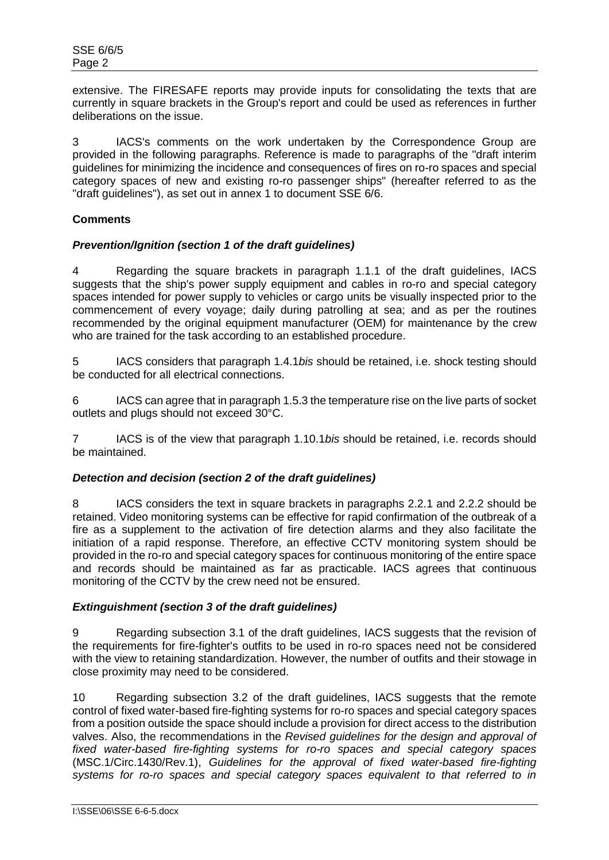extensive. The FIRESAFE reports may provide inputs for consolidating the texts that are currently in square brackets in the Group's report and could be used as references in further deliberations on the issue.

3 IACS's comments on the work undertaken by the Correspondence Group are provided in the following paragraphs. Reference is made to paragraphs of the "draft interim guidelines for minimizing the incidence and consequences of fires on ro-ro spaces and special category spaces of new and existing ro-ro passenger ships" (hereafter referred to as the "draft guidelines"), as set out in annex 1 to document SSE 6/6.

# **Comments**

## *Prevention/Ignition (section 1 of the draft guidelines)*

4 Regarding the square brackets in paragraph 1.1.1 of the draft guidelines, IACS suggests that the ship's power supply equipment and cables in ro-ro and special category spaces intended for power supply to vehicles or cargo units be visually inspected prior to the commencement of every voyage; daily during patrolling at sea; and as per the routines recommended by the original equipment manufacturer (OEM) for maintenance by the crew who are trained for the task according to an established procedure.

5 IACS considers that paragraph 1.4.1*bis* should be retained, i.e. shock testing should be conducted for all electrical connections.

6 IACS can agree that in paragraph 1.5.3 the temperature rise on the live parts of socket outlets and plugs should not exceed 30°C.

7 IACS is of the view that paragraph 1.10.1*bis* should be retained, i.e. records should be maintained.

### *Detection and decision (section 2 of the draft guidelines)*

8 IACS considers the text in square brackets in paragraphs 2.2.1 and 2.2.2 should be retained. Video monitoring systems can be effective for rapid confirmation of the outbreak of a fire as a supplement to the activation of fire detection alarms and they also facilitate the initiation of a rapid response. Therefore, an effective CCTV monitoring system should be provided in the ro-ro and special category spaces for continuous monitoring of the entire space and records should be maintained as far as practicable. IACS agrees that continuous monitoring of the CCTV by the crew need not be ensured.

### *Extinguishment (section 3 of the draft guidelines)*

9 Regarding subsection 3.1 of the draft guidelines, IACS suggests that the revision of the requirements for fire-fighter's outfits to be used in ro-ro spaces need not be considered with the view to retaining standardization. However, the number of outfits and their stowage in close proximity may need to be considered.

10 Regarding subsection 3.2 of the draft guidelines, IACS suggests that the remote control of fixed water-based fire-fighting systems for ro-ro spaces and special category spaces from a position outside the space should include a provision for direct access to the distribution valves. Also, the recommendations in the *Revised guidelines for the design and approval of fixed water-based fire-fighting systems for ro-ro spaces and special category spaces* (MSC.1/Circ.1430/Rev.1), *Guidelines for the approval of fixed water-based fire-fighting systems for ro-ro spaces and special category spaces equivalent to that referred to in*